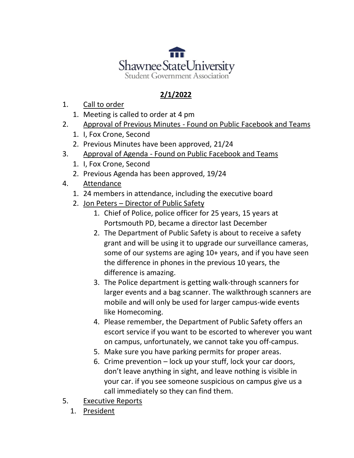

## **2/1/2022**

- 1. Call to order
	- 1. Meeting is called to order at 4 pm
- 2. Approval of Previous Minutes Found on Public Facebook and Teams
	- 1. I, Fox Crone, Second
	- 2. Previous Minutes have been approved, 21/24
- 3. Approval of Agenda Found on Public Facebook and Teams
	- 1. I, Fox Crone, Second
	- 2. Previous Agenda has been approved, 19/24
- 4. Attendance
	- 1. 24 members in attendance, including the executive board
	- 2. Jon Peters Director of Public Safety
		- 1. Chief of Police, police officer for 25 years, 15 years at Portsmouth PD, became a director last December
		- 2. The Department of Public Safety is about to receive a safety grant and will be using it to upgrade our surveillance cameras, some of our systems are aging 10+ years, and if you have seen the difference in phones in the previous 10 years, the difference is amazing.
		- 3. The Police department is getting walk-through scanners for larger events and a bag scanner. The walkthrough scanners are mobile and will only be used for larger campus-wide events like Homecoming.
		- 4. Please remember, the Department of Public Safety offers an escort service if you want to be escorted to wherever you want on campus, unfortunately, we cannot take you off-campus.
		- 5. Make sure you have parking permits for proper areas.
		- 6. Crime prevention lock up your stuff, lock your car doors, don't leave anything in sight, and leave nothing is visible in your car. if you see someone suspicious on campus give us a call immediately so they can find them.
- 5. Executive Reports
	- 1. President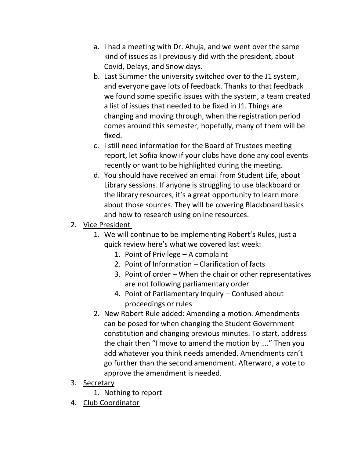- a. I had a meeting with Dr. Ahuja, and we went over the same kind of issues as I previously did with the president, about Covid, Delays, and Snow days.
- b. Last Summer the university switched over to the J1 system, and everyone gave lots of feedback. Thanks to that feedback we found some specific issues with the system, a team created a list of issues that needed to be fixed in J1. Things are changing and moving through, when the registration period comes around this semester, hopefully, many of them will be fixed.
- c. I still need information for the Board of Trustees meeting report, let Sofiia know if your clubs have done any cool events recently or want to be highlighted during the meeting.
- d. You should have received an email from Student Life, about Library sessions. If anyone is struggling to use blackboard or the library resources, it's a great opportunity to learn more about those sources. They will be covering Blackboard basics and how to research using online resources.
- 2. Vice President
	- 1. We will continue to be implementing Robert's Rules, just a quick review here's what we covered last week:
		- 1. Point of Privilege A complaint
		- 2. Point of Information Clarification of facts
		- 3. Point of order When the chair or other representatives are not following parliamentary order
		- 4. Point of Parliamentary Inquiry Confused about proceedings or rules
	- 2. New Robert Rule added: Amending a motion. Amendments can be posed for when changing the Student Government constitution and changing previous minutes. To start, address the chair then "I move to amend the motion by …." Then you add whatever you think needs amended. Amendments can't go further than the second amendment. Afterward, a vote to approve the amendment is needed.
- 3. Secretary
	- 1. Nothing to report
- 4. Club Coordinator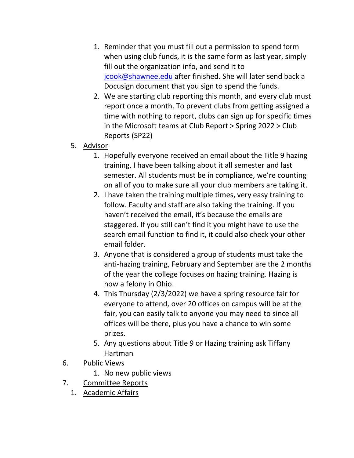- 1. Reminder that you must fill out a permission to spend form when using club funds, it is the same form as last year, simply fill out the organization info, and send it to [jcook@shawnee.edu](mailto:jcook@shawnee.edu) after finished. She will later send back a Docusign document that you sign to spend the funds.
- 2. We are starting club reporting this month, and every club must report once a month. To prevent clubs from getting assigned a time with nothing to report, clubs can sign up for specific times in the Microsoft teams at Club Report > Spring 2022 > Club Reports (SP22)
- 5. Advisor
	- 1. Hopefully everyone received an email about the Title 9 hazing training, I have been talking about it all semester and last semester. All students must be in compliance, we're counting on all of you to make sure all your club members are taking it.
	- 2. I have taken the training multiple times, very easy training to follow. Faculty and staff are also taking the training. If you haven't received the email, it's because the emails are staggered. If you still can't find it you might have to use the search email function to find it, it could also check your other email folder.
	- 3. Anyone that is considered a group of students must take the anti-hazing training, February and September are the 2 months of the year the college focuses on hazing training. Hazing is now a felony in Ohio.
	- 4. This Thursday (2/3/2022) we have a spring resource fair for everyone to attend, over 20 offices on campus will be at the fair, you can easily talk to anyone you may need to since all offices will be there, plus you have a chance to win some prizes.
	- 5. Any questions about Title 9 or Hazing training ask Tiffany Hartman
- 6. Public Views
	- 1. No new public views
- 7. Committee Reports
	- 1. Academic Affairs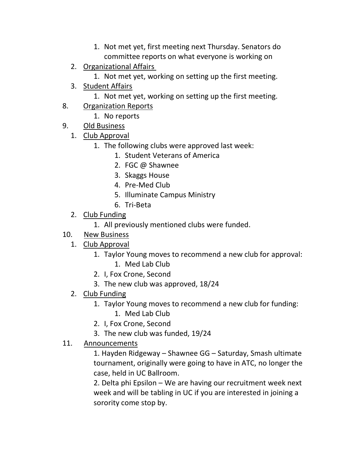- 1. Not met yet, first meeting next Thursday. Senators do committee reports on what everyone is working on
- 2. Organizational Affairs
	- 1. Not met yet, working on setting up the first meeting.
- 3. Student Affairs
	- 1. Not met yet, working on setting up the first meeting.
- 8. Organization Reports
	- 1. No reports
- 9. Old Business
	- 1. Club Approval
		- 1. The following clubs were approved last week:
			- 1. Student Veterans of America
			- 2. FGC @ Shawnee
			- 3. Skaggs House
			- 4. Pre-Med Club
			- 5. Illuminate Campus Ministry
			- 6. Tri-Beta
	- 2. Club Funding
		- 1. All previously mentioned clubs were funded.
- 10. New Business
	- 1. Club Approval
		- 1. Taylor Young moves to recommend a new club for approval: 1. Med Lab Club
		- 2. I, Fox Crone, Second
		- 3. The new club was approved, 18/24
	- 2. Club Funding
		- 1. Taylor Young moves to recommend a new club for funding:
			- 1. Med Lab Club
		- 2. I, Fox Crone, Second
		- 3. The new club was funded, 19/24

## 11. Announcements

1. Hayden Ridgeway – Shawnee GG – Saturday, Smash ultimate tournament, originally were going to have in ATC, no longer the case, held in UC Ballroom.

2. Delta phi Epsilon – We are having our recruitment week next week and will be tabling in UC if you are interested in joining a sorority come stop by.